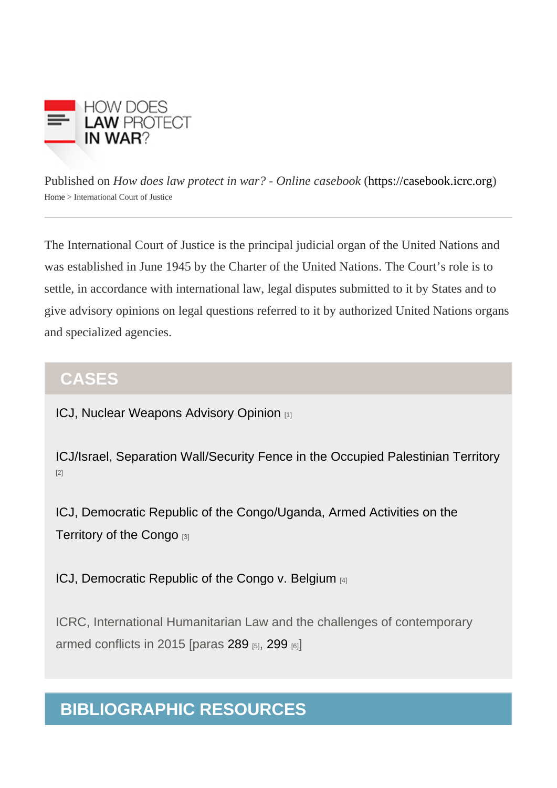Published on How does law protect in war? - Online caseb[ook](https://casebook.icrc.org) these increases (/casebook.icrc.org) [Home](https://casebook.icrc.org/) > International Court of Justice

The International Court of Justice is the principal judicial organ of the United Nations and was established in June 1945 by the Charter of the United Nations. The Court's role is to settle, in accordance with international law, legal disputes submitted to it by States and to give advisory opinions on legal questions referred to it by authorized United Nations organs and specialized agencies.

### **CASES**

[ICJ, Nuclear Weapons Advisory Opinion](https://casebook.icrc.org/case-study/icj-nuclear-weapons-advisory-opinion) [1]

[ICJ/Israel, Separation Wall/Security Fence in the Occupied Palestinian Territory](https://casebook.icrc.org/case-study/icjisrael-separation-wallsecurity-fence-occupied-palestinian-territory) [2]

[ICJ, Democratic Republic of the Congo/Uganda, Armed Activities on the](https://casebook.icrc.org/case-study/icj-democratic-republic-congouganda-armed-activities-territory-congo)  [Territory of the Congo](https://casebook.icrc.org/case-study/icj-democratic-republic-congouganda-armed-activities-territory-congo) [3]

[ICJ, Democratic Republic of the Congo v. Belgium](https://casebook.icrc.org/case-study/icj-democratic-republic-congo-v-belgium) [4]

ICRC, International Humanitarian Law and the challenges of contemporary armed conflicts in 2015 [paras [289](https://casebook.icrc.org/case-study/icrc-international-humanitarian-law-and-challenges-contemporary-armed-conflicts-2015#challenges-2015-para289)  $_{[5]}$ , [299](https://casebook.icrc.org/case-study/icrc-international-humanitarian-law-and-challenges-contemporary-armed-conflicts-2015#challenges-2015-para299)  $_{[6]}$ ]

## BIBLIOGRAPHIC RESOURCES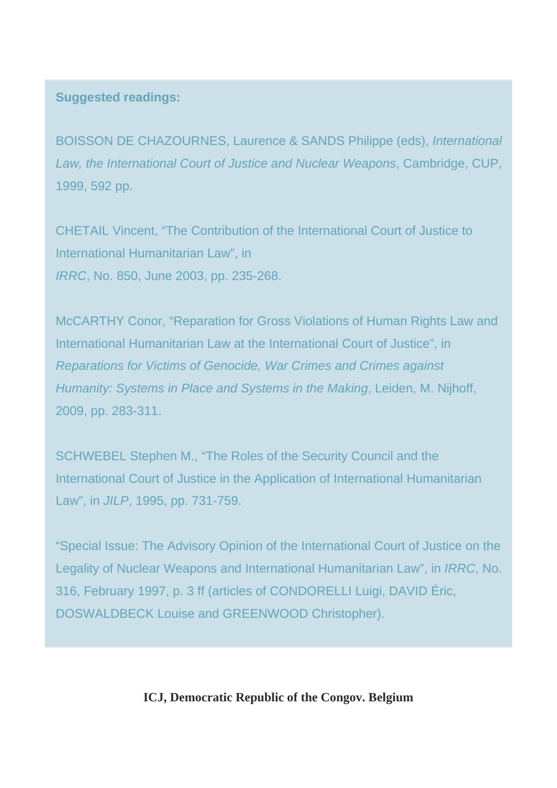### **Suggested readings:**

BOISSON DE CHAZOURNES, Laurence & SANDS Philippe (eds), International Law, the International Court of Justice and Nuclear Weapons, Cambridge, CUP, 1999, 592 pp.

CHETAIL Vincent, "The Contribution of the International Court of Justice to International Humanitarian Law", in IRRC, No. 850, June 2003, pp. 235-268.

McCARTHY Conor, "Reparation for Gross Violations of Human Rights Law and International Humanitarian Law at the International Court of Justice", in Reparations for Victims of Genocide, War Crimes and Crimes against Humanity: Systems in Place and Systems in the Making, Leiden, M. Nijhoff, 2009, pp. 283-311.

SCHWEBEL Stephen M., "The Roles of the Security Council and the International Court of Justice in the Application of International Humanitarian Law", in JILP, 1995, pp. 731-759.

"Special Issue: The Advisory Opinion of the International Court of Justice on the Legality of Nuclear Weapons and International Humanitarian Law", in IRRC, No. 316, February 1997, p. 3 ff (articles of CONDORELLI Luigi, DAVID Éric, DOSWALDBECK Louise and GREENWOOD Christopher).

**ICJ, Democratic Republic of the Congov. Belgium**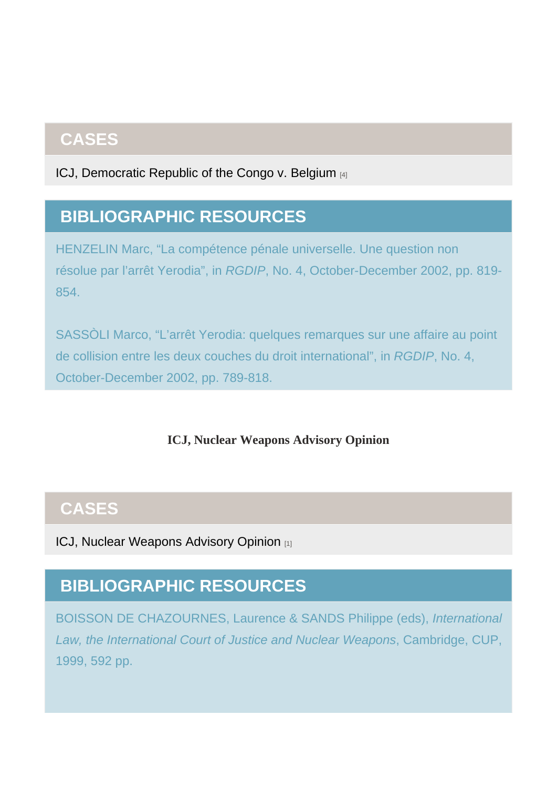## **CASES**

[ICJ, Democratic Republic of the Congo v. Belgium](https://casebook.icrc.org/case-study/icj-democratic-republic-congo-v-belgium) [4]

# BIBLIOGRAPHIC RESOURCES

ICJ, Nuclear Weapons Advisory Opinion

## **CASES**

[ICJ, Nuclear Weapons Advisory Opinion](https://casebook.icrc.org/case-study/icj-nuclear-weapons-advisory-opinion) [1]

# BIBLIOGRAPHIC RESOURCES